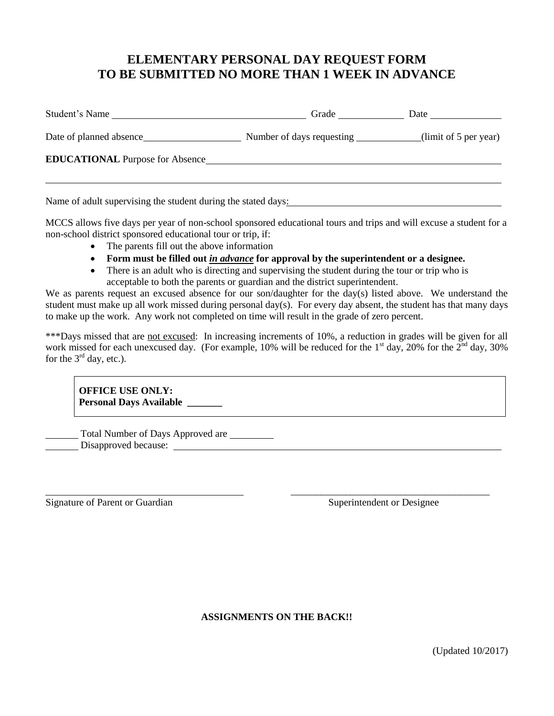## **ELEMENTARY PERSONAL DAY REQUEST FORM TO BE SUBMITTED NO MORE THAN 1 WEEK IN ADVANCE**

| Student's Name                                                | Grade                     |                       |
|---------------------------------------------------------------|---------------------------|-----------------------|
| Date of planned absence                                       | Number of days requesting | (limit of 5 per year) |
| <b>EDUCATIONAL</b> Purpose for Absence                        |                           |                       |
| Name of adult supervising the student during the stated days: |                           |                       |

MCCS allows five days per year of non-school sponsored educational tours and trips and will excuse a student for a non-school district sponsored educational tour or trip, if:

- The parents fill out the above information
- **Form must be filled out** *in advance* **for approval by the superintendent or a designee.**
- There is an adult who is directing and supervising the student during the tour or trip who is acceptable to both the parents or guardian and the district superintendent.

We as parents request an excused absence for our son/daughter for the day(s) listed above. We understand the student must make up all work missed during personal day(s). For every day absent, the student has that many days to make up the work. Any work not completed on time will result in the grade of zero percent.

\*\*\*Days missed that are not excused: In increasing increments of 10%, a reduction in grades will be given for all work missed for each unexcused day. (For example, 10% will be reduced for the 1<sup>st</sup> day, 20% for the  $2<sup>nd</sup>$  day, 30% for the  $3<sup>rd</sup>$  day, etc.).

**OFFICE USE ONLY: Personal Days Available \_\_\_\_\_\_\_**

Total Number of Days Approved are Disapproved because:

Signature of Parent or Guardian Superintendent or Designee

\_\_\_\_\_\_\_\_\_\_\_\_\_\_\_\_\_\_\_\_\_\_\_\_\_\_\_\_\_\_\_\_\_\_\_\_\_\_\_\_

**ASSIGNMENTS ON THE BACK!!**